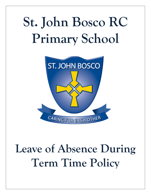# **St. John Bosco RC Primary School**



## **Leave of Absence During Term Time Policy**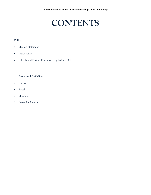### **CONTENTS**

#### **Policy**

- Mission Statement
- Introduction
- Schools and Further Education Regulations 1982

#### **1. Procedural Guidelines**

- *Parents*
- *School*
- *Monitoring*
- **2. Letter for Parents**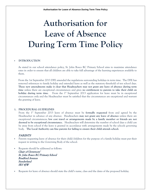## **Authorisation for Leave of Absence During Term Time Policy**

#### **INTRODUCTION**

As stated in our school attendance policy, St. John Bosco RC Primary School aims to maximise attendance rates in order to ensure that all children are able to take full advantage of the learning experiences available to them.

From the 1st September 2013 DFE amended the regulations surrounding holidays in term time. The DFE has removed references to family holiday and extended leave as well as the statutory threshold of ten school days. **These new amendments make it clear that Headteachers may not grant any leave of absence during term time** unless there are exceptional circumstances and gives **no entitlement to parents to take their child on holiday during term time.** From the 1<sup>st</sup> September 2013 application for leave must be in exceptional circumstances only and the Headteacher must be satisfied that the circumstances are exceptional and warrant the granting of leave.

#### **1. PROCEDURAL GUIDELINES**

From the 1st September 2013 leave of absence must be **formally requested** from and agreed by the Headteacher in advance of any absence. Headteachers **may not grant any leave of absence** unless there are exceptional circumstances; **low cost travel or arrangements made by a family member or friends are not deemed to be exceptional circumstance.** Headteachers will determine the number of school days a child can be away from school if the leave is granted in accordance with arrangements made by the schools governing body. **The Local Authority can fine parents for failing to ensure their child attends school.**

#### PARENTS

- Parents requesting leave of absence for their child/children for the purpose of a family holiday must put their request in writing to the Governing Body of the school.
- Requests should be addressed as follows:

Chair of Governors' St. John Bosco RC Primary School Bradford Avenue **Sunderland** SR5 4JW

Requests for leave of absence should state the child's name, class and the dates of the proposed holiday.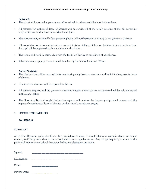#### **Authorisation for Leave of Absence During Term Time Policy**

#### **SCHOOL**

- The school will ensure that parents are informed well in advance of all school holiday dates.
- All requests for authorised leave of absence will be considered at the termly meeting of the full governing body, which are held in December, March and June.
- The Headteacher, on behalf of the governing body, will notify parents in writing of the governors decision.
- If leave of absence is not authorised and parents insist on taking children on holiday during term time, then the pupil will be registered as absent without authorisation.
- The school will work in partnership with the Inclusion Service to raise levels of attendance.
- When necessary, appropriate action will be taken by the School Inclusion Officer.

#### MONITORING

- The Headteacher will be responsible for monitoring daily/weekly attendance and individual requests for leave of absence.
- Unauthorised absences will be reported to the LA.
- All parental requests and the governors decisions whether authorised or unauthorised will be held on record in the school office.
- The Governing Body, through Headteacher reports, will monitor the frequency of parental requests and the impact of unauthorised leave of absence on the school's attendance targets.

#### **2. LETTER FOR PARENTS**

#### See Attached

#### **SUMMARY**

At St. John Bosco no policy should ever be regarded as complete. It should change as attitudes change or as new teaching staff bring new ideas to our school which are acceptable to us. Any change requiring a review of the policy will require whole school discussion before any alterations are made.

| Signed:             |  |
|---------------------|--|
| Designation:        |  |
| Date:               |  |
| <b>Review Date:</b> |  |